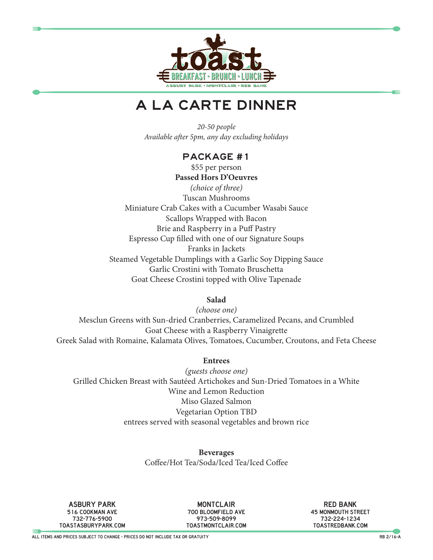

# A LA CARTE DINNER

*20-50 people Available after 5pm, any day excluding holidays*

### Package #1

\$55 per person **Passed Hors D'Oeuvres** *(choice of three)* Tuscan Mushrooms Miniature Crab Cakes with a Cucumber Wasabi Sauce Scallops Wrapped with Bacon Brie and Raspberry in a Puff Pastry Espresso Cup filled with one of our Signature Soups Franks in Jackets Steamed Vegetable Dumplings with a Garlic Soy Dipping Sauce Garlic Crostini with Tomato Bruschetta Goat Cheese Crostini topped with Olive Tapenade

**Salad**

*(choose one)* Mesclun Greens with Sun-dried Cranberries, Caramelized Pecans, and Crumbled Goat Cheese with a Raspberry Vinaigrette Greek Salad with Romaine, Kalamata Olives, Tomatoes, Cucumber, Croutons, and Feta Cheese

#### **Entrees**

*(guests choose one)* Grilled Chicken Breast with Sautéed Artichokes and Sun-Dried Tomatoes in a White Wine and Lemon Reduction Miso Glazed Salmon Vegetarian Option TBD entrees served with seasonal vegetables and brown rice

> **Beverages** Coffee/Hot Tea/Soda/Iced Tea/Iced Coffee

asbury park 516 cookman ave 732-776-5900 toastasburypark.com

**MONTCLAIR** 700 bloomfield ave 973-509-8099 toastmontclair.com

red bank 45 monmouth street 732-224-1234 toastredbank.com